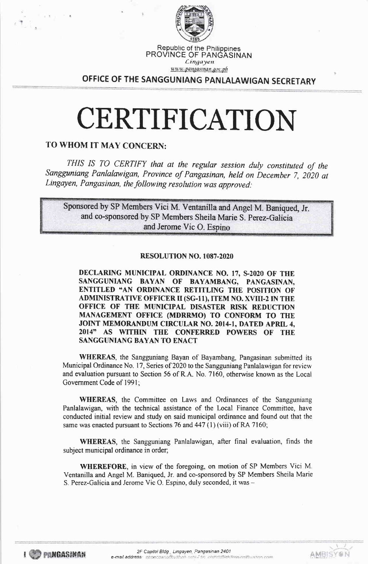

#### Republic of the Philippines PROVINCE OF PANGASINAN Lingayen

unun pangasinan gov.ph

OFFICE OF THE SANGGUNIANG PANLALAWIGAN SECRETARY

# CERTIFICATION

## TO WHOM IT MAY CONCERN:

THIS IS TO CERTIFY that at the regular session duly constituted of the Sangguniang Panlalawigan, Province of Pangasinan, held on December 7, 2020 at Lingayen, Pangasinan, the following resolution was approved:

Sponsored by SP Members Vici M. Ventanilla and Angel M. Baniqued, Jr. and co-sponsored by SP Members Sheila Marie S. Perez-Galicia and Jerome Vic O. Espino

## RESOLUTION NO. 1087-2020

DECLARING MUNICIPAL ORDINANCE NO. 17, S-2020 OF THE SANGGUNIANG BAYAN OF BAYAMBANG, PANGASINAN, ENTITLED "AN ORDINANCE RETITLING THE POSITION OF **ADMINISTRATIVE OFFICER II (SG-11), ITEM NO. XVIII-2 IN THE** OFFICE OF THE MUNICIPAL DISASTER RISK REDUCTION MANAGEMENT OFFICE (MDRRMO) TO CONFORM TO THE JOINT MEMORANDUM CIRCULAR NO. 2014-1, DATED APRIL 4, 2014" AS WITHIN THE CONFERRED POWERS OF THE **SANGGUNIANG BAYAN TO ENACT** 

**WHEREAS**, the Sangguniang Bayan of Bayambang, Pangasinan submitted its Municipal Ordinance No. 17, Series of 2020 to the Sangguniang Panlalawigan for review and evaluation pursuant to Section 56 of R.A. No. 7160, otherwise known as the Local Government Code of 1991;

**WHEREAS**, the Committee on Laws and Ordinances of the Sangguniang Panlalawigan, with the technical assistance of the Local Finance Committee, have conducted initial review and study on said municipal ordinance and found out that the same was enacted pursuant to Sections 76 and 447 (1) (viii) of RA 7160;

WHEREAS, the Sangguniang Panlalawigan, after final evaluation, finds the subject municipal ordinance in order;

**WHEREFORE**, in view of the foregoing, on motion of SP Members Vici M. Ventanilla and Angel M. Baniqued, Jr. and co-sponsored by SP Members Sheila Marie S. Perez-Galicia and Jerome Vic O. Espino, duly seconded, it was -

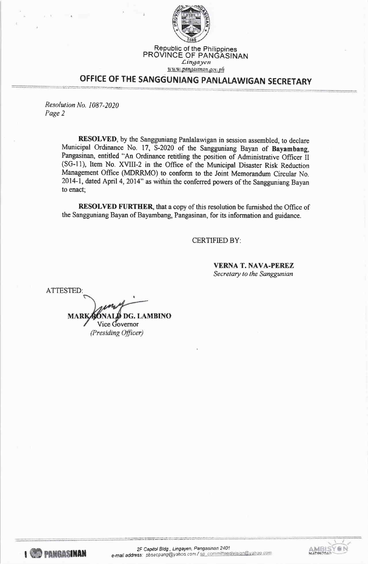

## OFFICE OF THE SANGGUNIANG PANLALAWIGAN SECRETARY

Resolution No. 1087-2020 Page 2

.<br>1966: A. Latini at Thermonic Scott of History and American Agriculture of American Scott of America<br>1966: A. Latini at Francesco and a Tri-Royal Scott of Triman American Scott

RESOLVED, by the Sangguniang Panlalawigan in session assembled, to declare Municipal Ordinance No. 17, 5-2020 of the Sangguniang Bayan of Bayambang, Pangasinan, entitled "An Ordinance retitling the position of Administrative Oflicer it (SG-11), Item No. XVIII-2 in the Office of the Municipal Disaster Risk Reduction Management Office (MDRRMO) to conform to the Joint Memorandum Circular No. 2014-1, dated April 4,2014" as within the conferred powers of the Sangguniang Bayan to enact;

**RESOLVED FURTHER**, that a copy of this resolution be furnished the Office of the Sangguniang Bayan of Bayambang, Pangasinan, for its information and guidance.

CERTIFIED BY:

VERNA T. NAVA.PEREZ Secretary to the Sanggunian

ATTESTED: **D** DG. LAMBINO **MARI** Vice Governor (Presiding Officer)

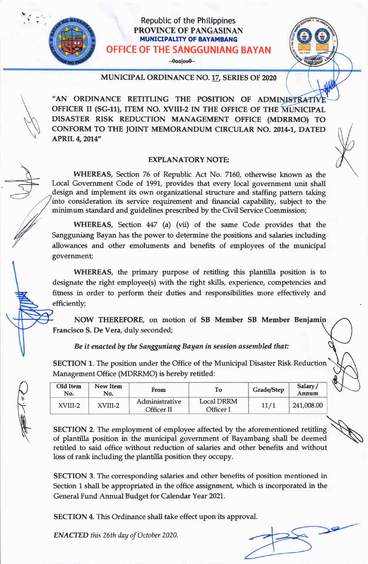## Republic of the Philippines PROVINCE OF PANGASINAN **MUNICIPALITY OF BAYAMBANG** OFFICE OF THE SANGGUNIANG BAYAN

 $\neg$ 000 $\neg$ 00 $\neg$ 

### MUNTCTPAL ORDINANCE NO.1z SERIES OF 2020

"AN ORDINANCE RETITLING THE POSITION OF ADMINISTRATIV OFFICER II (SG-11), ITEM NO. XVIII-2 IN THE OFFICE OF THE MUNICIPAL DISASTER RISK REDUCTION MANAGEMENT OFFICE (MDRRMO) TO CONFORM TO THE JOINT MEMORANDUM CIRCULAR NO. 2014-1, DATED **APRIL 4, 2014"** 

## EXPLANATORY NOTE:

WHEREAS, Section 76 of Republic Act No. 7760, otherwise known as the Local Government Code of 1991, provides that every local government unit shall design and implement its own organizational structure and staffing pattern taking into consideration its service requirement and financial capability, subject to the minimum standard and guidelines prescribed by the Civil Service Commission;

WHEREAS, Section 447 (a) (vii) of the same Code provides that the Sangguniang Bayan has the power to determine the positions and salaries including allowances and other emoluments and benefits of employees of the municipal government;

WHEREAS, the primary purpose of retitling this plantilla position is to designate the right employee(s) with the right skills, experience, competencies and fitress in order to perform their duties and responsibilities more effectively and efficiently;

NOW THEREFORE, on motion of SB Member SB Member Benjamin Francisco S. De Vera, duly seconded;

## Be it enacted by the Sangguniang Bayan in session assembled that:

SECTION 1. The position under the Office of the Municipal Disaster Risk Reduction Management Office (MDRRMO) is hereby retitled:

| Old Item<br>No. | <b>New Item</b><br>No. | From                                | To                             | <b>Grade/Step</b> | Salary/<br>Annum |
|-----------------|------------------------|-------------------------------------|--------------------------------|-------------------|------------------|
| XVIII-2         | XVIII-2                | Administrative<br><b>Officer II</b> | <b>Local DRRM</b><br>Officer I | 11/1              | 241,008.00       |

SECTION 2. The employment of employee affected by the aforementioned retitling of plantilla position in the municipal government of Bayambang shall be deemed \) retitled to said office without reduction of salaries and other benefits and without loss of rank including the plantilla position they occupy.

SECTION 3. The corresponding salaries and other benefits of position mentioned in Section 1 shall be appropriated in the office assignment, which is incorporated in the General Fund Annual Budget for Calendar Year 2021..

SECTION 4. This Ordinance shall take effect upon its approval.

ENACTED this 26th day of October 2020.

 $\overline{Q}$ 

 $\sqrt{2}$